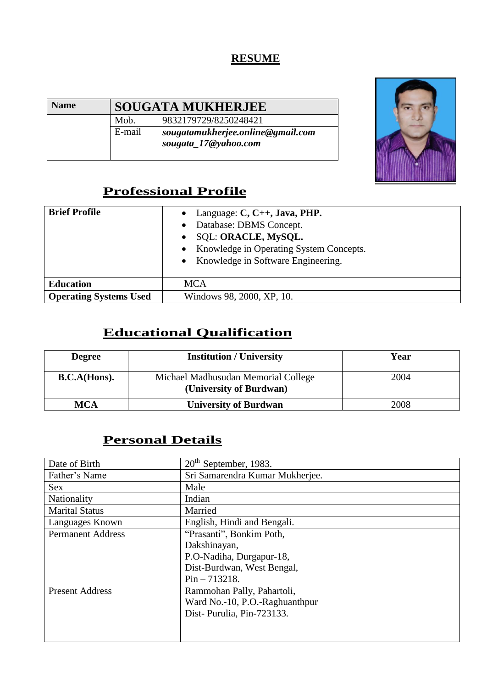#### **RESUME**

| <b>Name</b> | <b>SOUGATA MUKHERJEE</b> |                                                           |
|-------------|--------------------------|-----------------------------------------------------------|
|             | Mob.                     | 9832179729/8250248421                                     |
|             | E-mail                   | sougatamukherjee.online@gmail.com<br>sougata_17@yahoo.com |



# **Professional Profile**

| <b>Brief Profile</b>          | Language: $C, C++, Java, PHP.$<br>Database: DBMS Concept.<br>SQL: ORACLE, MySQL.<br>Knowledge in Operating System Concepts.<br>$\bullet$<br>Knowledge in Software Engineering. |
|-------------------------------|--------------------------------------------------------------------------------------------------------------------------------------------------------------------------------|
| <b>Education</b>              | <b>MCA</b>                                                                                                                                                                     |
| <b>Operating Systems Used</b> | Windows 98, 2000, XP, 10.                                                                                                                                                      |

## **Educational Qualification**

| <b>Degree</b> | <b>Institution / University</b>                                | Year |
|---------------|----------------------------------------------------------------|------|
| B.C.A(Hons).  | Michael Madhusudan Memorial College<br>(University of Burdwan) | 2004 |
| <b>MCA</b>    | <b>University of Burdwan</b>                                   | 2008 |

## **Personal Details**

| Date of Birth            | $20th$ September, 1983.         |
|--------------------------|---------------------------------|
| Father's Name            | Sri Samarendra Kumar Mukherjee. |
| <b>Sex</b>               | Male                            |
| Nationality              | Indian                          |
| <b>Marital Status</b>    | Married                         |
| Languages Known          | English, Hindi and Bengali.     |
| <b>Permanent Address</b> | "Prasanti", Bonkim Poth,        |
|                          | Dakshinayan,                    |
|                          | P.O-Nadiha, Durgapur-18,        |
|                          | Dist-Burdwan, West Bengal,      |
|                          | $Pin - 713218.$                 |
| <b>Present Address</b>   | Rammohan Pally, Pahartoli,      |
|                          | Ward No.-10, P.O.-Raghuanthpur  |
|                          | Dist-Purulia, Pin-723133.       |
|                          |                                 |
|                          |                                 |